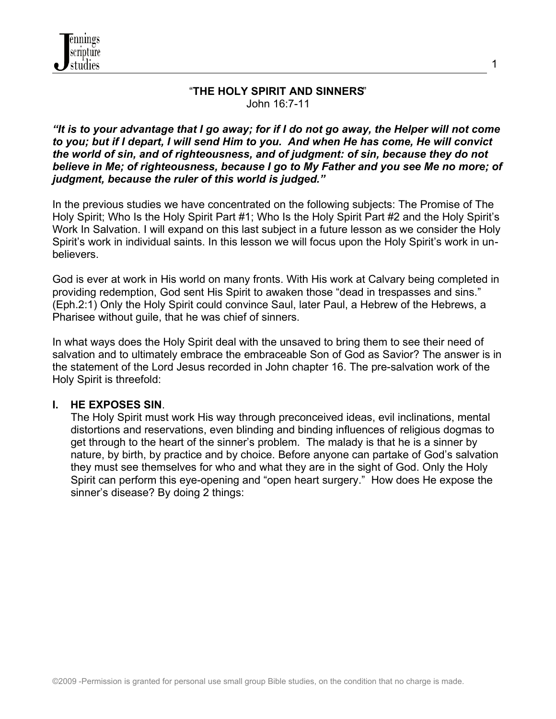

### "**THE HOLY SPIRIT AND SINNERS**" John 16:7-11

1

*"It is to your advantage that I go away; for if I do not go away, the Helper will not come to you; but if I depart, I will send Him to you. And when He has come, He will convict the world of sin, and of righteousness, and of judgment: of sin, because they do not believe in Me; of righteousness, because I go to My Father and you see Me no more; of judgment, because the ruler of this world is judged."*

In the previous studies we have concentrated on the following subjects: The Promise of The Holy Spirit; Who Is the Holy Spirit Part #1; Who Is the Holy Spirit Part #2 and the Holy Spirit's Work In Salvation. I will expand on this last subject in a future lesson as we consider the Holy Spirit's work in individual saints. In this lesson we will focus upon the Holy Spirit's work in unbelievers.

God is ever at work in His world on many fronts. With His work at Calvary being completed in providing redemption, God sent His Spirit to awaken those "dead in trespasses and sins." (Eph.2:1) Only the Holy Spirit could convince Saul, later Paul, a Hebrew of the Hebrews, a Pharisee without guile, that he was chief of sinners.

In what ways does the Holy Spirit deal with the unsaved to bring them to see their need of salvation and to ultimately embrace the embraceable Son of God as Savior? The answer is in the statement of the Lord Jesus recorded in John chapter 16. The pre-salvation work of the Holy Spirit is threefold:

### **I. HE EXPOSES SIN**.

 The Holy Spirit must work His way through preconceived ideas, evil inclinations, mental distortions and reservations, even blinding and binding influences of religious dogmas to get through to the heart of the sinner's problem. The malady is that he is a sinner by nature, by birth, by practice and by choice. Before anyone can partake of God's salvation they must see themselves for who and what they are in the sight of God. Only the Holy Spirit can perform this eye-opening and "open heart surgery." How does He expose the sinner's disease? By doing 2 things: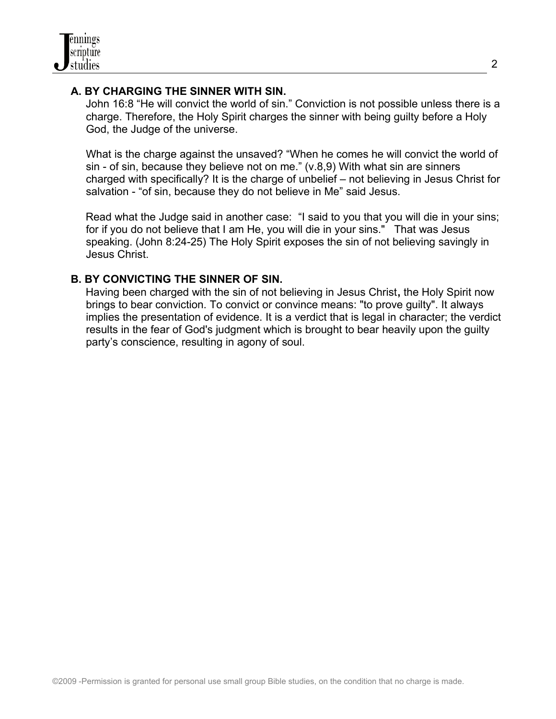## **A. BY CHARGING THE SINNER WITH SIN.**

John 16:8 "He will convict the world of sin." Conviction is not possible unless there is a charge. Therefore, the Holy Spirit charges the sinner with being guilty before a Holy God, the Judge of the universe.

 What is the charge against the unsaved? "When he comes he will convict the world of sin - of sin, because they believe not on me." (v.8,9) With what sin are sinners charged with specifically? It is the charge of unbelief – not believing in Jesus Christ for salvation - "of sin, because they do not believe in Me" said Jesus.

Read what the Judge said in another case: "I said to you that you will die in your sins; for if you do not believe that I am He, you will die in your sins." That was Jesus speaking. (John 8:24-25) The Holy Spirit exposes the sin of not believing savingly in Jesus Christ.

## **B. BY CONVICTING THE SINNER OF SIN.**

Having been charged with the sin of not believing in Jesus Christ**,** the Holy Spirit now brings to bear conviction. To convict or convince means: "to prove guilty". It always implies the presentation of evidence. It is a verdict that is legal in character; the verdict results in the fear of God's judgment which is brought to bear heavily upon the guilty party's conscience, resulting in agony of soul.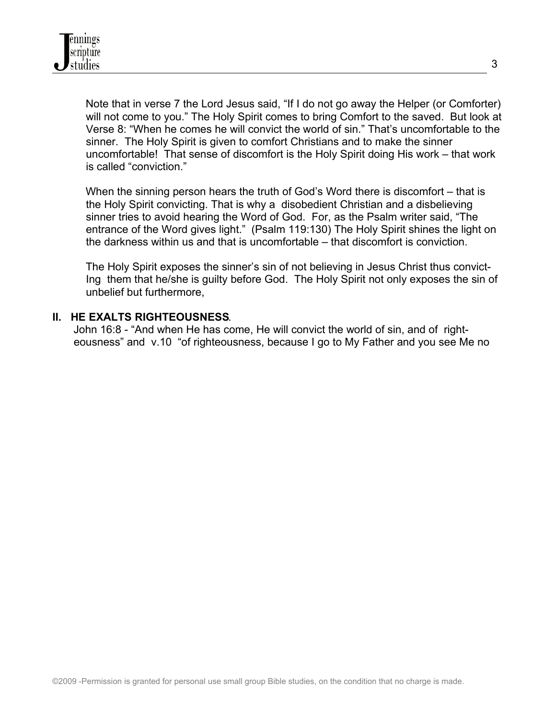Note that in verse 7 the Lord Jesus said, "If I do not go away the Helper (or Comforter) will not come to you." The Holy Spirit comes to bring Comfort to the saved. But look at Verse 8: "When he comes he will convict the world of sin." That's uncomfortable to the sinner. The Holy Spirit is given to comfort Christians and to make the sinner uncomfortable! That sense of discomfort is the Holy Spirit doing His work – that work is called "conviction."

When the sinning person hears the truth of God's Word there is discomfort – that is the Holy Spirit convicting. That is why a disobedient Christian and a disbelieving sinner tries to avoid hearing the Word of God. For, as the Psalm writer said, "The entrance of the Word gives light." (Psalm 119:130) The Holy Spirit shines the light on the darkness within us and that is uncomfortable – that discomfort is conviction.

The Holy Spirit exposes the sinner's sin of not believing in Jesus Christ thus convict- Ing them that he/she is guilty before God. The Holy Spirit not only exposes the sin of unbelief but furthermore,

### **II. HE EXALTS RIGHTEOUSNESS**.

John 16:8 - "And when He has come, He will convict the world of sin, and of right eousness" and v.10 "of righteousness, because I go to My Father and you see Me no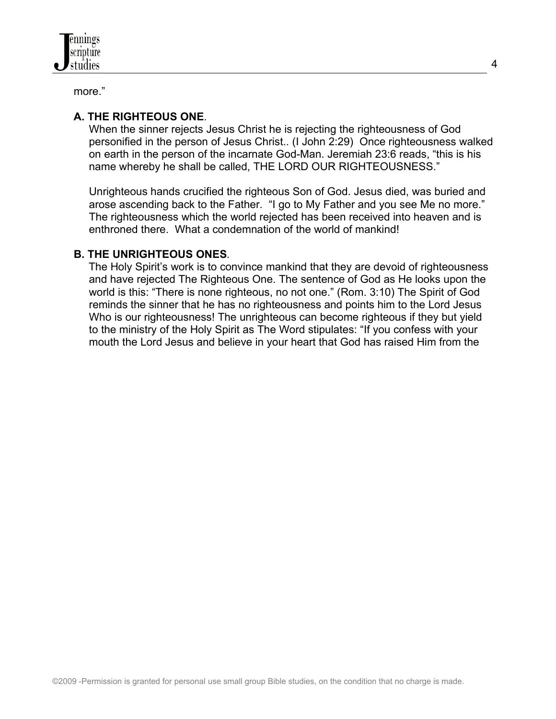more."

# **A. THE RIGHTEOUS ONE**.

 When the sinner rejects Jesus Christ he is rejecting the righteousness of God personified in the person of Jesus Christ.. (I John 2:29) Once righteousness walked on earth in the person of the incarnate God-Man. Jeremiah 23:6 reads, "this is his name whereby he shall be called, THE LORD OUR RIGHTEOUSNESS."

 Unrighteous hands crucified the righteous Son of God. Jesus died, was buried and arose ascending back to the Father. "I go to My Father and you see Me no more." The righteousness which the world rejected has been received into heaven and is enthroned there. What a condemnation of the world of mankind!

## **B. THE UNRIGHTEOUS ONES**.

The Holy Spirit's work is to convince mankind that they are devoid of righteousness and have rejected The Righteous One. The sentence of God as He looks upon the world is this: "There is none righteous, no not one." (Rom. 3:10) The Spirit of God reminds the sinner that he has no righteousness and points him to the Lord Jesus Who is our righteousness! The unrighteous can become righteous if they but yield to the ministry of the Holy Spirit as The Word stipulates: "If you confess with your mouth the Lord Jesus and believe in your heart that God has raised Him from the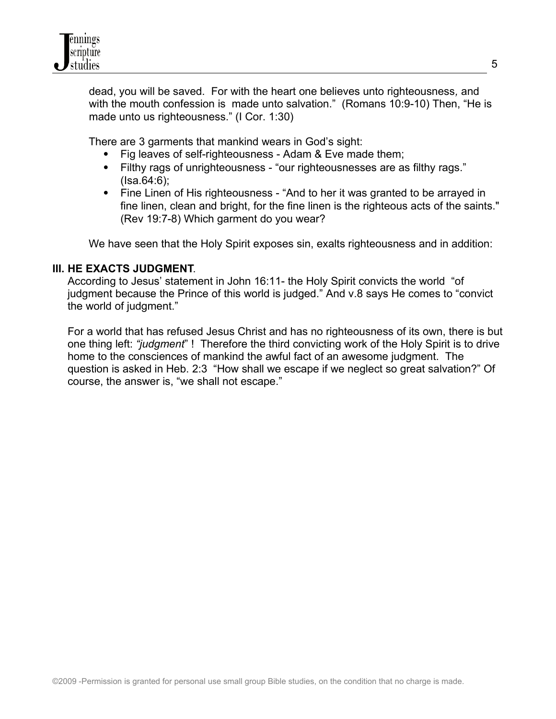dead, you will be saved. For with the heart one believes unto righteousness*,* and with the mouth confession is made unto salvation." (Romans 10:9-10) Then, "He is made unto us righteousness." (I Cor. 1:30)

There are 3 garments that mankind wears in God's sight:

- Fig leaves of self-righteousness Adam & Eve made them;
- Filthy rags of unrighteousness "our righteousnesses are as filthy rags." (Isa.64:6);
- Fine Linen of His righteousness "And to her it was granted to be arrayed in fine linen, clean and bright, for the fine linen is the righteous acts of the saints." (Rev 19:7-8) Which garment do you wear?

We have seen that the Holy Spirit exposes sin, exalts righteousness and in addition:

## **III. HE EXACTS JUDGMENT**.

 According to Jesus' statement in John 16:11- the Holy Spirit convicts the world "of judgment because the Prince of this world is judged." And v.8 says He comes to "convict the world of judgment."

 For a world that has refused Jesus Christ and has no righteousness of its own, there is but one thing left: *"judgment*" ! Therefore the third convicting work of the Holy Spirit is to drive home to the consciences of mankind the awful fact of an awesome judgment. The question is asked in Heb. 2:3 "How shall we escape if we neglect so great salvation?" Of course, the answer is, "we shall not escape."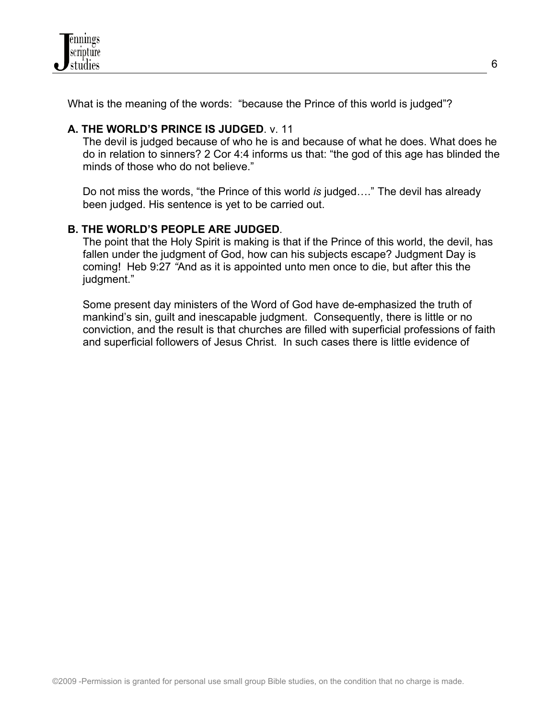

What is the meaning of the words: "because the Prince of this world is judged"?

## **A. THE WORLD'S PRINCE IS JUDGED**. v. 11

The devil is judged because of who he is and because of what he does. What does he do in relation to sinners? 2 Cor 4:4 informs us that: "the god of this age has blinded the minds of those who do not believe."

Do not miss the words, "the Prince of this world *is* judged…." The devil has already been judged. His sentence is yet to be carried out.

### **B. THE WORLD'S PEOPLE ARE JUDGED**.

The point that the Holy Spirit is making is that if the Prince of this world, the devil, has fallen under the judgment of God, how can his subjects escape? Judgment Day is coming! Heb 9:27 *"*And as it is appointed unto men once to die, but after this the judgment."

Some present day ministers of the Word of God have de-emphasized the truth of mankind's sin, guilt and inescapable judgment. Consequently, there is little or no conviction, and the result is that churches are filled with superficial professions of faith and superficial followers of Jesus Christ. In such cases there is little evidence of